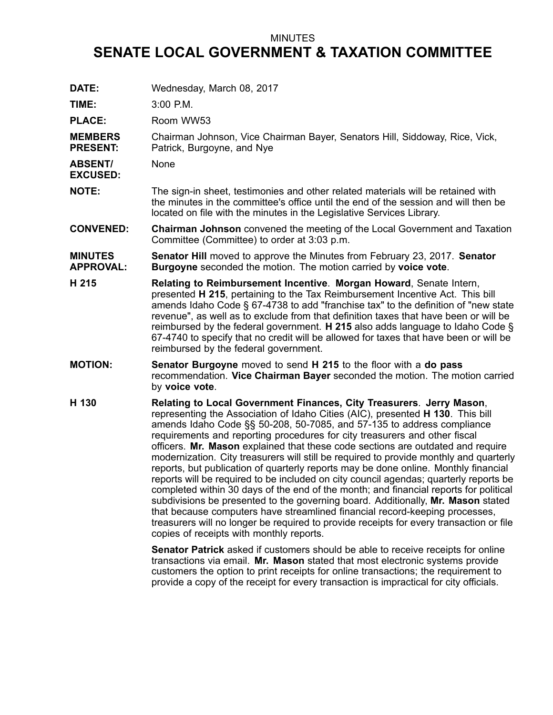## MINUTES

## **SENATE LOCAL GOVERNMENT & TAXATION COMMITTEE**

| DATE:                              | Wednesday, March 08, 2017                                                                                                                                                                                                                                                                                                                                                                                                                                                                                                                                                                                                                                                                                                                                                                                                                                                                                                                                                                                                                                                              |
|------------------------------------|----------------------------------------------------------------------------------------------------------------------------------------------------------------------------------------------------------------------------------------------------------------------------------------------------------------------------------------------------------------------------------------------------------------------------------------------------------------------------------------------------------------------------------------------------------------------------------------------------------------------------------------------------------------------------------------------------------------------------------------------------------------------------------------------------------------------------------------------------------------------------------------------------------------------------------------------------------------------------------------------------------------------------------------------------------------------------------------|
| TIME:                              | 3:00 P.M.                                                                                                                                                                                                                                                                                                                                                                                                                                                                                                                                                                                                                                                                                                                                                                                                                                                                                                                                                                                                                                                                              |
| <b>PLACE:</b>                      | Room WW53                                                                                                                                                                                                                                                                                                                                                                                                                                                                                                                                                                                                                                                                                                                                                                                                                                                                                                                                                                                                                                                                              |
| <b>MEMBERS</b><br><b>PRESENT:</b>  | Chairman Johnson, Vice Chairman Bayer, Senators Hill, Siddoway, Rice, Vick,<br>Patrick, Burgoyne, and Nye                                                                                                                                                                                                                                                                                                                                                                                                                                                                                                                                                                                                                                                                                                                                                                                                                                                                                                                                                                              |
| <b>ABSENT/</b><br><b>EXCUSED:</b>  | None                                                                                                                                                                                                                                                                                                                                                                                                                                                                                                                                                                                                                                                                                                                                                                                                                                                                                                                                                                                                                                                                                   |
| <b>NOTE:</b>                       | The sign-in sheet, testimonies and other related materials will be retained with<br>the minutes in the committee's office until the end of the session and will then be<br>located on file with the minutes in the Legislative Services Library.                                                                                                                                                                                                                                                                                                                                                                                                                                                                                                                                                                                                                                                                                                                                                                                                                                       |
| <b>CONVENED:</b>                   | Chairman Johnson convened the meeting of the Local Government and Taxation<br>Committee (Committee) to order at 3:03 p.m.                                                                                                                                                                                                                                                                                                                                                                                                                                                                                                                                                                                                                                                                                                                                                                                                                                                                                                                                                              |
| <b>MINUTES</b><br><b>APPROVAL:</b> | <b>Senator Hill</b> moved to approve the Minutes from February 23, 2017. <b>Senator</b><br><b>Burgoyne</b> seconded the motion. The motion carried by voice vote.                                                                                                                                                                                                                                                                                                                                                                                                                                                                                                                                                                                                                                                                                                                                                                                                                                                                                                                      |
| H 215                              | Relating to Reimbursement Incentive. Morgan Howard, Senate Intern,<br>presented H 215, pertaining to the Tax Reimbursement Incentive Act. This bill<br>amends Idaho Code § 67-4738 to add "franchise tax" to the definition of "new state<br>revenue", as well as to exclude from that definition taxes that have been or will be<br>reimbursed by the federal government. $H$ 215 also adds language to Idaho Code §<br>67-4740 to specify that no credit will be allowed for taxes that have been or will be<br>reimbursed by the federal government.                                                                                                                                                                                                                                                                                                                                                                                                                                                                                                                                |
| <b>MOTION:</b>                     | <b>Senator Burgoyne</b> moved to send H 215 to the floor with a do pass<br>recommendation. Vice Chairman Bayer seconded the motion. The motion carried<br>by voice vote.                                                                                                                                                                                                                                                                                                                                                                                                                                                                                                                                                                                                                                                                                                                                                                                                                                                                                                               |
| H 130                              | Relating to Local Government Finances, City Treasurers. Jerry Mason,<br>representing the Association of Idaho Cities (AIC), presented <b>H 130</b> . This bill<br>amends Idaho Code §§ 50-208, 50-7085, and 57-135 to address compliance<br>requirements and reporting procedures for city treasurers and other fiscal<br>officers. Mr. Mason explained that these code sections are outdated and require<br>modernization. City treasurers will still be required to provide monthly and quarterly<br>reports, but publication of quarterly reports may be done online. Monthly financial<br>reports will be required to be included on city council agendas; quarterly reports be<br>completed within 30 days of the end of the month; and financial reports for political<br>subdivisions be presented to the governing board. Additionally, Mr. Mason stated<br>that because computers have streamlined financial record-keeping processes,<br>treasurers will no longer be required to provide receipts for every transaction or file<br>copies of receipts with monthly reports. |
|                                    | <b>Senator Patrick</b> asked if customers should be able to receive receipts for online<br>transactions via email. Mr. Mason stated that most electronic systems provide<br>customers the option to print receipts for online transactions; the requirement to<br>provide a copy of the receipt for every transaction is impractical for city officials.                                                                                                                                                                                                                                                                                                                                                                                                                                                                                                                                                                                                                                                                                                                               |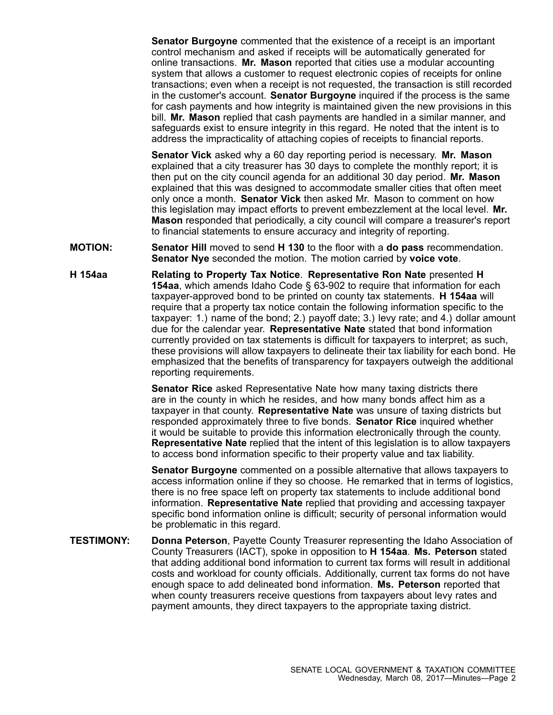**Senator Burgoyne** commented that the existence of <sup>a</sup> receipt is an important control mechanism and asked if receipts will be automatically generated for online transactions. **Mr. Mason** reported that cities use <sup>a</sup> modular accounting system that allows <sup>a</sup> customer to request electronic copies of receipts for online transactions; even when <sup>a</sup> receipt is not requested, the transaction is still recorded in the customer's account. **Senator Burgoyne** inquired if the process is the same for cash payments and how integrity is maintained given the new provisions in this bill. **Mr. Mason** replied that cash payments are handled in <sup>a</sup> similar manner, and safeguards exist to ensure integrity in this regard. He noted that the intent is to address the impracticality of attaching copies of receipts to financial reports.

**Senator Vick** asked why <sup>a</sup> 60 day reporting period is necessary. **Mr. Mason** explained that <sup>a</sup> city treasurer has 30 days to complete the monthly report; it is then put on the city council agenda for an additional 30 day period. **Mr. Mason** explained that this was designed to accommodate smaller cities that often meet only once <sup>a</sup> month. **Senator Vick** then asked Mr. Mason to comment on how this legislation may impact efforts to prevent embezzlement at the local level. **Mr. Mason** responded that periodically, <sup>a</sup> city council will compare <sup>a</sup> treasurer's report to financial statements to ensure accuracy and integrity of reporting.

- **MOTION: Senator Hill** moved to send **H 130** to the floor with <sup>a</sup> **do pass** recommendation. **Senator Nye** seconded the motion. The motion carried by **voice vote**.
- **H 154aa Relating to Property Tax Notice**. **Representative Ron Nate** presented **H 154aa**, which amends Idaho Code § 63-902 to require that information for each taxpayer-approved bond to be printed on county tax statements. **H 154aa** will require that <sup>a</sup> property tax notice contain the following information specific to the taxpayer: 1.) name of the bond; 2.) payoff date; 3.) levy rate; and 4.) dollar amount due for the calendar year. **Representative Nate** stated that bond information currently provided on tax statements is difficult for taxpayers to interpret; as such, these provisions will allow taxpayers to delineate their tax liability for each bond. He emphasized that the benefits of transparency for taxpayers outweigh the additional reporting requirements.

**Senator Rice** asked Representative Nate how many taxing districts there are in the county in which he resides, and how many bonds affect him as <sup>a</sup> taxpayer in that county. **Representative Nate** was unsure of taxing districts but responded approximately three to five bonds. **Senator Rice** inquired whether it would be suitable to provide this information electronically through the county. **Representative Nate** replied that the intent of this legislation is to allow taxpayers to access bond information specific to their property value and tax liability.

**Senator Burgoyne** commented on <sup>a</sup> possible alternative that allows taxpayers to access information online if they so choose. He remarked that in terms of logistics, there is no free space left on property tax statements to include additional bond information. **Representative Nate** replied that providing and accessing taxpayer specific bond information online is difficult; security of personal information would be problematic in this regard.

**TESTIMONY: Donna Peterson**, Payette County Treasurer representing the Idaho Association of County Treasurers (IACT), spoke in opposition to **H 154aa**. **Ms. Peterson** stated that adding additional bond information to current tax forms will result in additional costs and workload for county officials. Additionally, current tax forms do not have enough space to add delineated bond information. **Ms. Peterson** reported that when county treasurers receive questions from taxpayers about levy rates and payment amounts, they direct taxpayers to the appropriate taxing district.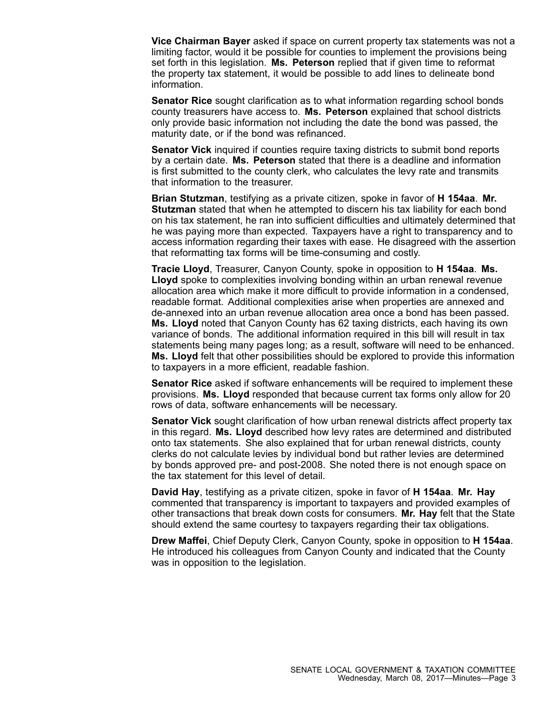**Vice Chairman Bayer** asked if space on current property tax statements was not <sup>a</sup> limiting factor, would it be possible for counties to implement the provisions being set forth in this legislation. **Ms. Peterson** replied that if given time to reformat the property tax statement, it would be possible to add lines to delineate bond information.

**Senator Rice** sought clarification as to what information regarding school bonds county treasurers have access to. **Ms. Peterson** explained that school districts only provide basic information not including the date the bond was passed, the maturity date, or if the bond was refinanced.

**Senator Vick** inquired if counties require taxing districts to submit bond reports by <sup>a</sup> certain date. **Ms. Peterson** stated that there is <sup>a</sup> deadline and information is first submitted to the county clerk, who calculates the levy rate and transmits that information to the treasurer.

**Brian Stutzman**, testifying as <sup>a</sup> private citizen, spoke in favor of **H 154aa**. **Mr. Stutzman** stated that when he attempted to discern his tax liability for each bond on his tax statement, he ran into sufficient difficulties and ultimately determined that he was paying more than expected. Taxpayers have <sup>a</sup> right to transparency and to access information regarding their taxes with ease. He disagreed with the assertion that reformatting tax forms will be time-consuming and costly.

**Tracie Lloyd**, Treasurer, Canyon County, spoke in opposition to **H 154aa**. **Ms. Lloyd** spoke to complexities involving bonding within an urban renewal revenue allocation area which make it more difficult to provide information in <sup>a</sup> condensed, readable format. Additional complexities arise when properties are annexed and de-annexed into an urban revenue allocation area once <sup>a</sup> bond has been passed. **Ms. Lloyd** noted that Canyon County has 62 taxing districts, each having its own variance of bonds. The additional information required in this bill will result in tax statements being many pages long; as <sup>a</sup> result, software will need to be enhanced. **Ms. Lloyd** felt that other possibilities should be explored to provide this information to taxpayers in <sup>a</sup> more efficient, readable fashion.

**Senator Rice** asked if software enhancements will be required to implement these provisions. **Ms. Lloyd** responded that because current tax forms only allow for 20 rows of data, software enhancements will be necessary.

**Senator Vick** sought clarification of how urban renewal districts affect property tax in this regard. **Ms. Lloyd** described how levy rates are determined and distributed onto tax statements. She also explained that for urban renewal districts, county clerks do not calculate levies by individual bond but rather levies are determined by bonds approved pre- and post-2008. She noted there is not enough space on the tax statement for this level of detail.

**David Hay**, testifying as <sup>a</sup> private citizen, spoke in favor of **H 154aa**. **Mr. Hay** commented that transparency is important to taxpayers and provided examples of other transactions that break down costs for consumers. **Mr. Hay** felt that the State should extend the same courtesy to taxpayers regarding their tax obligations.

**Drew Maffei**, Chief Deputy Clerk, Canyon County, spoke in opposition to **H 154aa**. He introduced his colleagues from Canyon County and indicated that the County was in opposition to the legislation.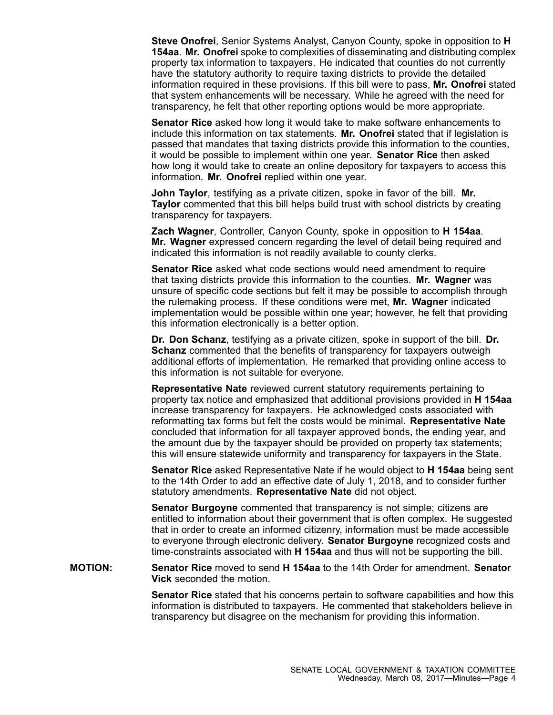**Steve Onofrei**, Senior Systems Analyst, Canyon County, spoke in opposition to **H 154aa**. **Mr. Onofrei** spoke to complexities of disseminating and distributing complex property tax information to taxpayers. He indicated that counties do not currently have the statutory authority to require taxing districts to provide the detailed information required in these provisions. If this bill were to pass, **Mr. Onofrei** stated that system enhancements will be necessary. While he agreed with the need for transparency, he felt that other reporting options would be more appropriate.

**Senator Rice** asked how long it would take to make software enhancements to include this information on tax statements. **Mr. Onofrei** stated that if legislation is passed that mandates that taxing districts provide this information to the counties, it would be possible to implement within one year. **Senator Rice** then asked how long it would take to create an online depository for taxpayers to access this information. **Mr. Onofrei** replied within one year.

**John Taylor**, testifying as <sup>a</sup> private citizen, spoke in favor of the bill. **Mr. Taylor** commented that this bill helps build trust with school districts by creating transparency for taxpayers.

**Zach Wagner**, Controller, Canyon County, spoke in opposition to **H 154aa**. **Mr. Wagner** expressed concern regarding the level of detail being required and indicated this information is not readily available to county clerks.

**Senator Rice** asked what code sections would need amendment to require that taxing districts provide this information to the counties. **Mr. Wagner** was unsure of specific code sections but felt it may be possible to accomplish through the rulemaking process. If these conditions were met, **Mr. Wagner** indicated implementation would be possible within one year; however, he felt that providing this information electronically is <sup>a</sup> better option.

**Dr. Don Schanz**, testifying as <sup>a</sup> private citizen, spoke in support of the bill. **Dr. Schanz** commented that the benefits of transparency for taxpayers outweigh additional efforts of implementation. He remarked that providing online access to this information is not suitable for everyone.

**Representative Nate** reviewed current statutory requirements pertaining to property tax notice and emphasized that additional provisions provided in **H 154aa** increase transparency for taxpayers. He acknowledged costs associated with reformatting tax forms but felt the costs would be minimal. **Representative Nate** concluded that information for all taxpayer approved bonds, the ending year, and the amount due by the taxpayer should be provided on property tax statements; this will ensure statewide uniformity and transparency for taxpayers in the State.

**Senator Rice** asked Representative Nate if he would object to **H 154aa** being sent to the 14th Order to add an effective date of July 1, 2018, and to consider further statutory amendments. **Representative Nate** did not object.

**Senator Burgoyne** commented that transparency is not simple; citizens are entitled to information about their government that is often complex. He suggested that in order to create an informed citizenry, information must be made accessible to everyone through electronic delivery. **Senator Burgoyne** recognized costs and time-constraints associated with **H 154aa** and thus will not be supporting the bill.

**MOTION: Senator Rice** moved to send **H 154aa** to the 14th Order for amendment. **Senator Vick** seconded the motion.

> **Senator Rice** stated that his concerns pertain to software capabilities and how this information is distributed to taxpayers. He commented that stakeholders believe in transparency but disagree on the mechanism for providing this information.